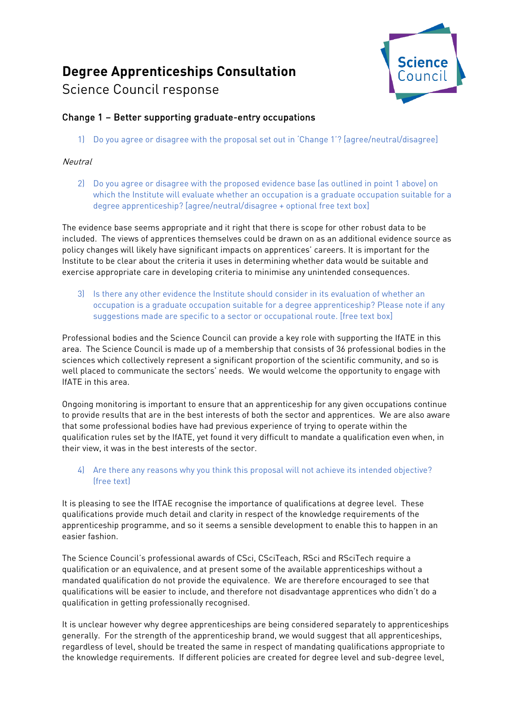# **Degree Apprenticeships Consultation**

# Science Council response



# Change 1 – Better supporting graduate-entry occupations

1) Do you agree or disagree with the proposal set out in 'Change 1'? [agree/neutral/disagree]

# **Neutral**

2) Do you agree or disagree with the proposed evidence base (as outlined in point 1 above) on which the Institute will evaluate whether an occupation is a graduate occupation suitable for a degree apprenticeship? [agree/neutral/disagree + optional free text box]

The evidence base seems appropriate and it right that there is scope for other robust data to be included. The views of apprentices themselves could be drawn on as an additional evidence source as policy changes will likely have significant impacts on apprentices' careers. It is important for the Institute to be clear about the criteria it uses in determining whether data would be suitable and exercise appropriate care in developing criteria to minimise any unintended consequences.

3) Is there any other evidence the Institute should consider in its evaluation of whether an occupation is a graduate occupation suitable for a degree apprenticeship? Please note if any suggestions made are specific to a sector or occupational route. [free text box]

Professional bodies and the Science Council can provide a key role with supporting the IfATE in this area. The Science Council is made up of a membership that consists of 36 professional bodies in the sciences which collectively represent a significant proportion of the scientific community, and so is well placed to communicate the sectors' needs. We would welcome the opportunity to engage with IfATE in this area.

Ongoing monitoring is important to ensure that an apprenticeship for any given occupations continue to provide results that are in the best interests of both the sector and apprentices. We are also aware that some professional bodies have had previous experience of trying to operate within the qualification rules set by the IfATE, yet found it very difficult to mandate a qualification even when, in their view, it was in the best interests of the sector.

# 4) Are there any reasons why you think this proposal will not achieve its intended objective? (free text)

It is pleasing to see the IfTAE recognise the importance of qualifications at degree level. These qualifications provide much detail and clarity in respect of the knowledge requirements of the apprenticeship programme, and so it seems a sensible development to enable this to happen in an easier fashion.

The Science Council's professional awards of CSci, CSciTeach, RSci and RSciTech require a qualification or an equivalence, and at present some of the available apprenticeships without a mandated qualification do not provide the equivalence. We are therefore encouraged to see that qualifications will be easier to include, and therefore not disadvantage apprentices who didn't do a qualification in getting professionally recognised.

It is unclear however why degree apprenticeships are being considered separately to apprenticeships generally. For the strength of the apprenticeship brand, we would suggest that all apprenticeships, regardless of level, should be treated the same in respect of mandating qualifications appropriate to the knowledge requirements. If different policies are created for degree level and sub-degree level,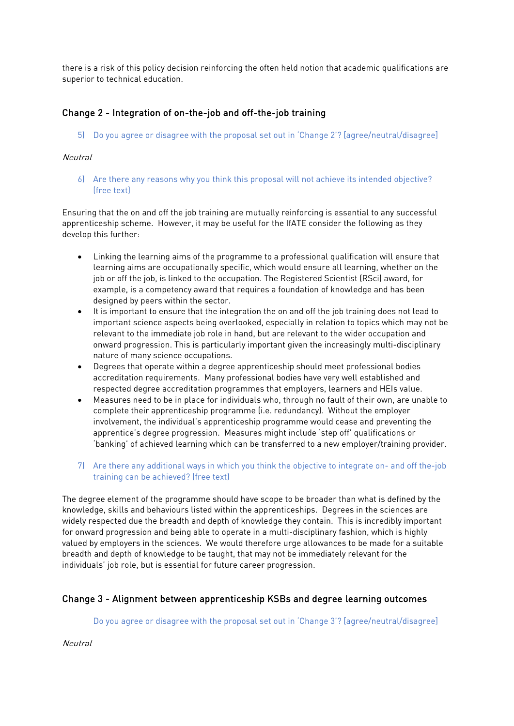there is a risk of this policy decision reinforcing the often held notion that academic qualifications are superior to technical education.

# Change 2 - Integration of on-the-job and off-the-job training

5) Do you agree or disagree with the proposal set out in 'Change 2'? [agree/neutral/disagree]

# Neutral

6) Are there any reasons why you think this proposal will not achieve its intended objective? (free text)

Ensuring that the on and off the job training are mutually reinforcing is essential to any successful apprenticeship scheme. However, it may be useful for the IfATE consider the following as they develop this further:

- Linking the learning aims of the programme to a professional qualification will ensure that learning aims are occupationally specific, which would ensure all learning, whether on the job or off the job, is linked to the occupation. The Registered Scientist (RSci) award, for example, is a competency award that requires a foundation of knowledge and has been designed by peers within the sector.
- It is important to ensure that the integration the on and off the job training does not lead to important science aspects being overlooked, especially in relation to topics which may not be relevant to the immediate job role in hand, but are relevant to the wider occupation and onward progression. This is particularly important given the increasingly multi-disciplinary nature of many science occupations.
- Degrees that operate within a degree apprenticeship should meet professional bodies accreditation requirements. Many professional bodies have very well established and respected degree accreditation programmes that employers, learners and HEIs value.
- Measures need to be in place for individuals who, through no fault of their own, are unable to complete their apprenticeship programme (i.e. redundancy). Without the employer involvement, the individual's apprenticeship programme would cease and preventing the apprentice's degree progression. Measures might include 'step off' qualifications or 'banking' of achieved learning which can be transferred to a new employer/training provider.
- 7) Are there any additional ways in which you think the objective to integrate on- and off the-job training can be achieved? (free text)

The degree element of the programme should have scope to be broader than what is defined by the knowledge, skills and behaviours listed within the apprenticeships. Degrees in the sciences are widely respected due the breadth and depth of knowledge they contain. This is incredibly important for onward progression and being able to operate in a multi-disciplinary fashion, which is highly valued by employers in the sciences. We would therefore urge allowances to be made for a suitable breadth and depth of knowledge to be taught, that may not be immediately relevant for the individuals' job role, but is essential for future career progression.

# Change 3 - Alignment between apprenticeship KSBs and degree learning outcomes

Do you agree or disagree with the proposal set out in 'Change 3'? [agree/neutral/disagree]

**Neutral**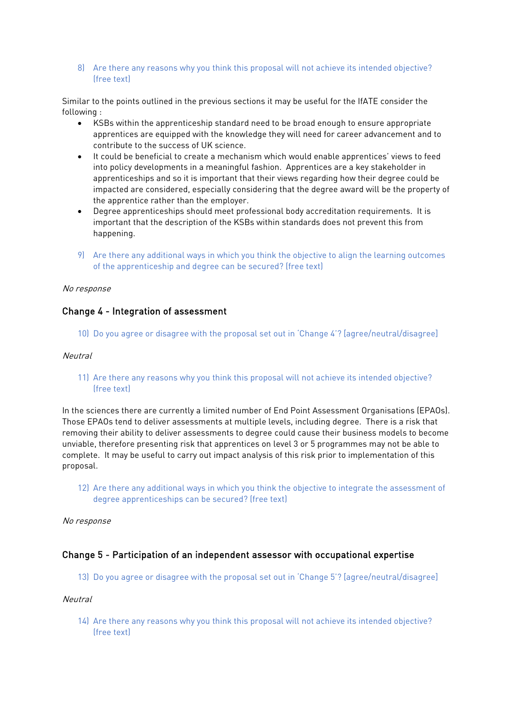8) Are there any reasons why you think this proposal will not achieve its intended objective? (free text)

Similar to the points outlined in the previous sections it may be useful for the IfATE consider the following :

- KSBs within the apprenticeship standard need to be broad enough to ensure appropriate apprentices are equipped with the knowledge they will need for career advancement and to contribute to the success of UK science.
- It could be beneficial to create a mechanism which would enable apprentices' views to feed into policy developments in a meaningful fashion. Apprentices are a key stakeholder in apprenticeships and so it is important that their views regarding how their degree could be impacted are considered, especially considering that the degree award will be the property of the apprentice rather than the employer.
- Degree apprenticeships should meet professional body accreditation requirements. It is important that the description of the KSBs within standards does not prevent this from happening.
- 9) Are there any additional ways in which you think the objective to align the learning outcomes of the apprenticeship and degree can be secured? (free text)

#### No response

# Change 4 - Integration of assessment

10) Do you agree or disagree with the proposal set out in 'Change 4'? [agree/neutral/disagree]

#### Neutral

11) Are there any reasons why you think this proposal will not achieve its intended objective? (free text)

In the sciences there are currently a limited number of End Point Assessment Organisations (EPAOs). Those EPAOs tend to deliver assessments at multiple levels, including degree. There is a risk that removing their ability to deliver assessments to degree could cause their business models to become unviable, therefore presenting risk that apprentices on level 3 or 5 programmes may not be able to complete. It may be useful to carry out impact analysis of this risk prior to implementation of this proposal.

12) Are there any additional ways in which you think the objective to integrate the assessment of degree apprenticeships can be secured? (free text)

#### No response

# Change 5 - Participation of an independent assessor with occupational expertise

13) Do you agree or disagree with the proposal set out in 'Change 5'? [agree/neutral/disagree]

#### **Neutral**

14) Are there any reasons why you think this proposal will not achieve its intended objective? (free text)